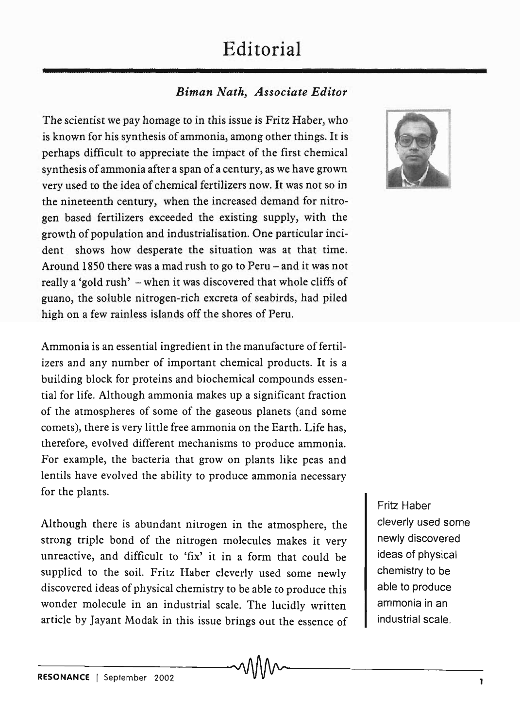## **Editorial**

## *Biman Nath, Associate Editor*

The scientist we pay homage to in this issue is Fritz Haber, who is known for his synthesis of ammonia, among other things. It is perhaps difficult to appreciate the impact of the first chemical synthesis of ammonia after a span of a century, as we have grown very used to the idea of chemical fertilizers now. It was not so in the nineteenth century, when the increased demand for nitrogen based fertilizers exceeded the existing supply, with the growth of population and industrialisation. One particular incident shows how desperate the situation was at that time. Around 1850 there was a mad rush to go to Peru – and it was not really a 'gold rush' - when it was discovered that whole cliffs of guano, the soluble nitrogen-rich excreta of seabirds, had piled high on a few rainless islands off the shores of Peru.

Ammonia is an essential ingredient in the manufacture of fertilizers and any number of important chemical products. It is a building block for proteins and biochemical compounds essential for life. Although ammonia makes up a significant fraction of the atmospheres of some of the gaseous planets (and some comets), there is very little free ammonia on the Earth. Life has, therefore, evolved different mechanisms to produce ammonia. For example, the bacteria that grow on plants like peas and lentils have evolved the ability to produce ammonia necessary for the plants.

Although there is abundant nitrogen in the atmosphere, the strong triple bond of the nitrogen molecules makes it very unreactive, and difficult to 'fix' it in a form that could be supplied to the soil. Fritz Haber cleverly used some newly discovered ideas of physical chemistry to be able to produce this wonder molecule in an industrial scale. The lucidly written article by Jayant Modak in this issue brings out the essence of



Fritz Haber cleverly used some newly discovered ideas of physical chemistry to be able to produce ammonia in an industrial scale.